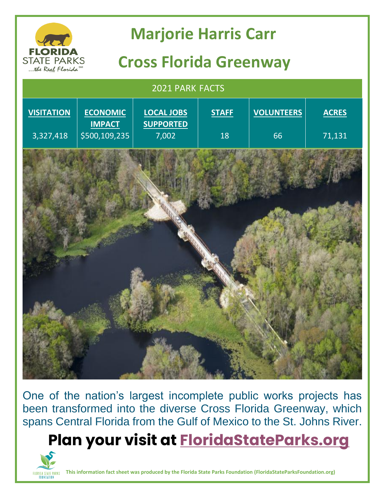

One of the nation's largest incomplete public works projects has been transformed into the diverse Cross Florida Greenway, which spans Central Florida from the Gulf of Mexico to the St. Johns River.

**Plan your visit at [FloridaStateParks.org](http://www.floridastateparks.org/)**



**This information fact sheet was produced by the Florida State Parks Foundation (FloridaStateParksFoundation.org)**